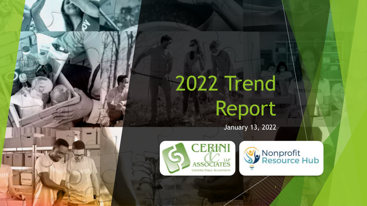# 2022 Trend Report

January 13, 2022



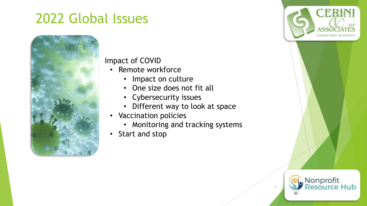

#### • Impact of COVID

- Remote workforce
	- Impact on culture
	- One size does not fit all
	- Cybersecurity issues
	- Different way to look at space
- Vaccination policies
	- Monitoring and tracking systems
- Start and stop

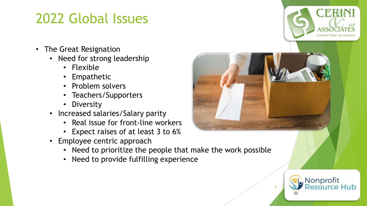- The Great Resignation
	- Need for strong leadership
		- Flexible
		- Empathetic
		- Problem solvers
		- Teachers/Supporters
		- Diversity
	- Increased salaries/Salary parity
		- Real issue for front-line workers
		- Expect raises of at least 3 to 6%
	- Employee centric approach
		- Need to prioritize the people that make the work possible
		- Need to provide fulfilling experience



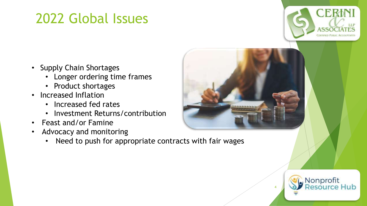

- Supply Chain Shortages
	- Longer ordering time frames
	- Product shortages
- Increased Inflation
	- Increased fed rates
	- Investment Returns/contribution
- Feast and/or Famine
- Advocacy and monitoring
	- Need to push for appropriate contracts with fair wages



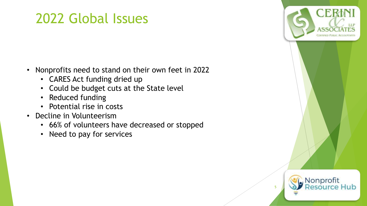- Nonprofits need to stand on their own feet in 2022
	- CARES Act funding dried up
	- Could be budget cuts at the State level
	- Reduced funding
	- Potential rise in costs
- Decline in Volunteerism
	- 66% of volunteers have decreased or stopped
	- Need to pay for services

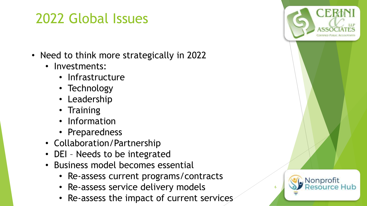- Need to think more strategically in 2022
	- Investments:
		- Infrastructure
		- Technology
		- Leadership
		- Training
		- Information
		- Preparedness
	- Collaboration/Partnership
	- DEI Needs to be integrated
	- Business model becomes essential
		- Re-assess current programs/contracts
		- Re-assess service delivery models
		- Re-assess the impact of current services

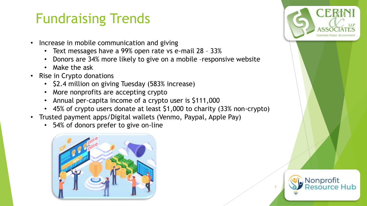#### Fundraising Trends

- Increase in mobile communication and giving
	- Text messages have a 99% open rate vs e-mail 28 33%
	- Donors are 34% more likely to give on a mobile –responsive website
	- Make the ask
- Rise in Crypto donations
	- \$2.4 million on giving Tuesday (583% increase)
	- More nonprofits are accepting crypto
	- Annual per-capita income of a crypto user is \$111,000
	- 45% of crypto users donate at least \$1,000 to charity (33% non-crypto)
- Trusted payment apps/Digital wallets (Venmo, Paypal, Apple Pay)
	- 54% of donors prefer to give on-line



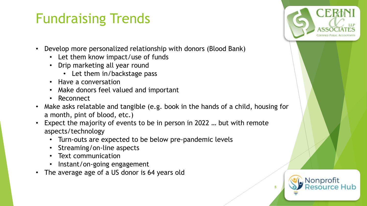#### Fundraising Trends

- Develop more personalized relationship with donors (Blood Bank)
	- Let them know impact/use of funds
	- Drip marketing all year round
		- Let them in/backstage pass
	- Have a conversation
	- Make donors feel valued and important
	- Reconnect
- Make asks relatable and tangible (e.g. book in the hands of a child, housing for a month, pint of blood, etc.)
- Expect the majority of events to be in person in 2022 … but with remote aspects/technology
	- Turn-outs are expected to be below pre-pandemic levels
	- Streaming/on-line aspects
	- Text communication
	- Instant/on-going engagement
- The average age of a US donor is 64 years old



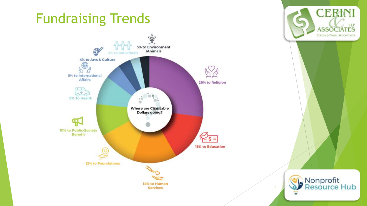#### Fundraising Trends



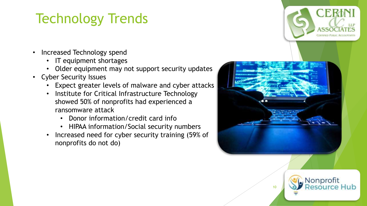## Technology Trends

- Increased Technology spend
	- IT equipment shortages
	- Older equipment may not support security updates
- Cyber Security Issues
	- Expect greater levels of malware and cyber attacks
	- Institute for Critical Infrastructure Technology showed 50% of nonprofits had experienced a ransomware attack
		- Donor information/credit card info
		- HIPAA information/Social security numbers
	- Increased need for cyber security training (59% of nonprofits do not do)



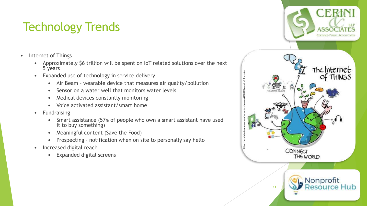#### Technology Trends

- Internet of Things
	- Approximately \$6 trillion will be spent on IoT related solutions over the next 5 years
	- Expanded use of technology in service delivery
		- Air Beam wearable device that measures air quality/pollution
		- Sensor on a water well that monitors water levels
		- Medical devices constantly monitoring
		- Voice activated assistant/smart home
	- Fundraising
		- Smart assistance (57% of people who own a smart assistant have used it to buy something)
		- Meaningful content (Save the Food)
		- Prospecting notification when on site to personally say hello
	- Increased digital reach
		- Expanded digital screens

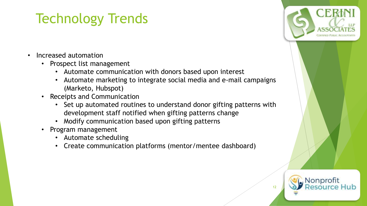## Technology Trends

- Increased automation
	- Prospect list management
		- Automate communication with donors based upon interest
		- Automate marketing to integrate social media and e-mail campaigns (Marketo, Hubspot)
	- Receipts and Communication
		- Set up automated routines to understand donor gifting patterns with development staff notified when gifting patterns change
		- Modify communication based upon gifting patterns
	- Program management
		- Automate scheduling
		- Create communication platforms (mentor/mentee dashboard)



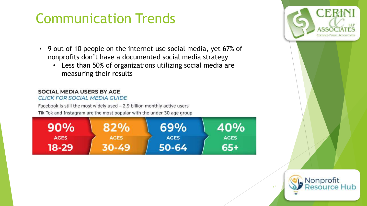#### Communication Trends

- 9 out of 10 people on the internet use social media, yet 67% of nonprofits don't have a documented social media strategy
	- Less than 50% of organizations utilizing social media are measuring their results

#### **SOCIAL MEDIA USERS BY AGE**

**CLICK FOR SOCIAL MEDIA GUIDE** 

Facebook is still the most widely used - 2.9 billion monthly active users Tik Tok and Instagram are the most popular with the under 30 age group



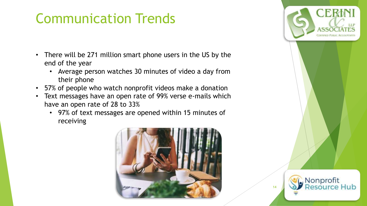#### Communication Trends

- There will be 271 million smart phone users in the US by the end of the year
	- Average person watches 30 minutes of video a day from their phone
- 57% of people who watch nonprofit videos make a donation
- Text messages have an open rate of 99% verse e-mails which have an open rate of 28 to 33%
	- 97% of text messages are opened within 15 minutes of receiving



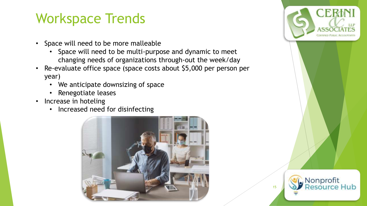#### Workspace Trends

- Space will need to be more malleable
	- Space will need to be multi-purpose and dynamic to meet changing needs of organizations through-out the week/day
- Re-evaluate office space (space costs about \$5,000 per person per year)
	- We anticipate downsizing of space
	- Renegotiate leases
- Increase in hoteling
	- Increased need for disinfecting



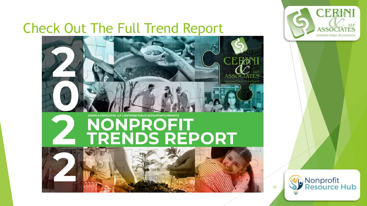## Check Out The Full Trend Report



# CERINI & ASSOCIATES, LLP | CERTIFIED PUBLIC ACCOUNTANTS PRESENTS NONPROFIT<br>TRENDS REPORT





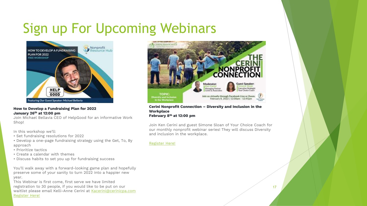#### Sign up For Upcoming Webinars



#### **How to Develop a Fundraising Plan for 2022 January 26th at 12:00 pm**

Join Michael Bellavia CEO of HelpGood for an informative Work Shop!

In this workshop we'll:

- Set fundraising resolutions for 2022
- Develop a one-page fundraising strategy using the Get, To, By approach
- Prioritize tactics
- Create a calendar with themes
- Discuss habits to set you up for fundraising success

You'll walk away with a forward-looking game plan and hopefully preserve some of your sanity to turn 2022 into a happier new year.

This Webinar is first come, first serve we have limited registration to 30 people, if you would like to be put on our waitlist please email Kelli-Anne Cerini at [Kacerini@cerinicpa.com](mailto:Kacerini@cerinicpa.com) [Register Here!](https://us06web.zoom.us/meeting/register/tZMod-ihqj4vGd2Zfhm8MZUDmtHNaXETQMte)



#### **Cerini Nonprofit Connection – Diversity and Inclusion in the Workplace February 8th at 12:00 pm**

Join Ken Cerini and guest Simone Sloan of Your Choice Coach for our monthly nonprofit webinar series! They will discuss Diversity and inclusion in the workplace.

#### [Register Here!](https://us02web.zoom.us/webinar/register/6516409026632/WN_RoxmE_U8SVGszUO7niJFpA)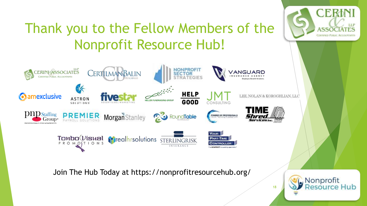

Join The Hub Today at https://nonprofitresourcehub.org/